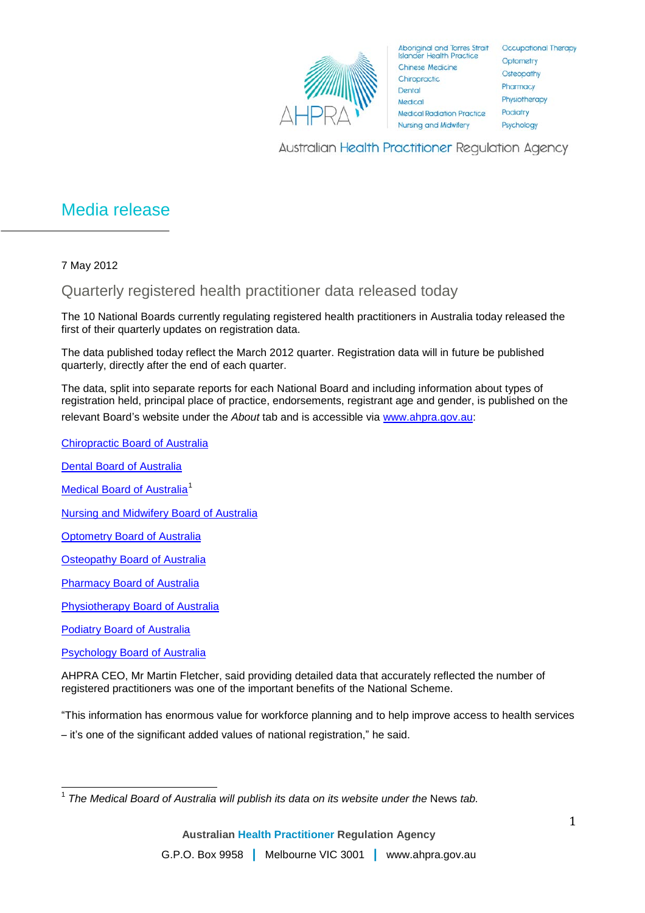

Aboriginal and Torres Strait<br>Islander Health Practice **Chinese Medicine** Chiropractic Dental Medical **Medical Radiation Practice Nursing and Midwifery** 

Occupational Therapy Optometry Osteopathy Pharmacy Physiotherapy Podiatry Psychology

Australian Health Practitioner Regulation Agency

## Media release

7 May 2012

Quarterly registered health practitioner data released today

The 10 National Boards currently regulating registered health practitioners in Australia today released the first of their quarterly updates on registration data.

The data published today reflect the March 2012 quarter. Registration data will in future be published quarterly, directly after the end of each quarter.

The data, split into separate reports for each National Board and including information about types of registration held, principal place of practice, endorsements, registrant age and gender, is published on the relevant Board's website under the *About* tab and is accessible via [www.ahpra.gov.au:](http://www.ahpra.gov.au/)

[Chiropractic Board of Australia](http://www.chiropracticboard.gov.au/About-the-Board/Statistics.aspx)

[Dental Board of Australia](http://www.dentalboard.gov.au/About-the-Board/Statistics.aspx) [Medical Board of Australia](http://www.medicalboard.gov.au/News/Statistics.aspx)<sup>[1](#page-0-0)</sup> [Nursing and Midwifery Board of Australia](http://www.nursingmidwiferyboard.gov.au/About/Statistics.aspx) **[Optometry Board of Australia](http://www.optometryboard.gov.au/About/Statistics.aspx)** [Osteopathy Board of Australia](http://www.osteopathyboard.gov.au/About/Statistics.aspx) **[Pharmacy Board of Australia](http://www.pharmacyboard.gov.au/About/Statistics.aspx)** [Physiotherapy Board of Australia](http://www.physiotherapyboard.gov.au/About/Statistics.aspx) [Podiatry Board of Australia](http://www.podiatryboard.gov.au/About/Statistics.aspx) **[Psychology Board of Australia](http://www.psychologyboard.gov.au/About/Statistics.aspx)** 

AHPRA CEO, Mr Martin Fletcher, said providing detailed data that accurately reflected the number of registered practitioners was one of the important benefits of the National Scheme.

"This information has enormous value for workforce planning and to help improve access to health services

– it's one of the significant added values of national registration," he said.

<span id="page-0-0"></span><sup>&</sup>lt;sup>1</sup> The Medical Board of Australia will publish its data on its website under the News tab.